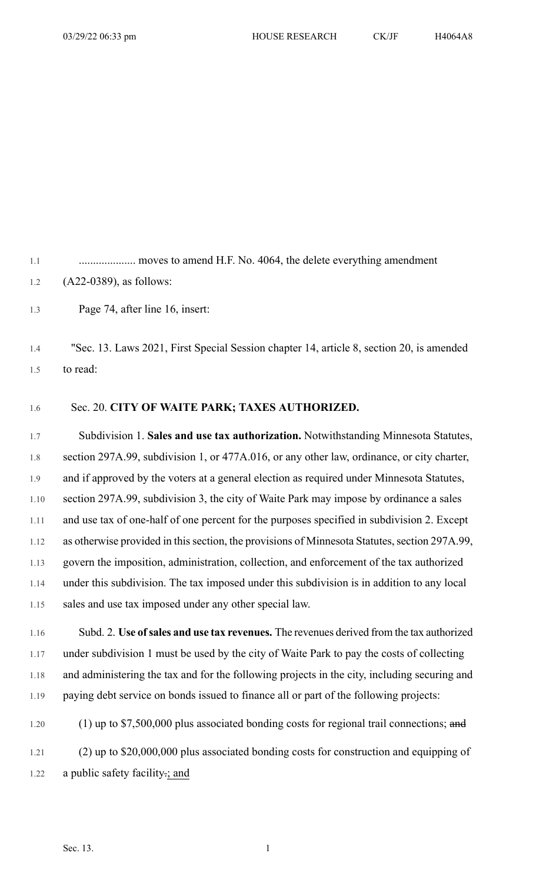1.1 ........................... moves to amend H.F. No. 4064, the delete everything amendment 1.2 (A22-0389), as follows:

1.3 Page 74, after line 16, insert:

1.4 "Sec. 13. Laws 2021, First Special Session chapter 14, article 8, section 20, is amended 1.5 to read:

## 1.6 Sec. 20. **CITY OF WAITE PARK; TAXES AUTHORIZED.**

1.7 Subdivision 1. **Sales and use tax authorization.** Notwithstanding Minnesota Statutes, 1.8 section 297A.99, subdivision 1, or 477A.016, or any other law, ordinance, or city charter, 1.9 and if approved by the voters at a general election as required under Minnesota Statutes, 1.10 section 297A.99, subdivision 3, the city of Waite Park may impose by ordinance a sales 1.11 and use tax of one-half of one percent for the purposes specified in subdivision 2. Except 1.12 as otherwise provided in this section, the provisions of Minnesota Statutes, section 297A.99, 1.13 govern the imposition, administration, collection, and enforcement of the tax authorized 1.14 under this subdivision. The tax imposed under this subdivision is in addition to any local 1.15 sales and use tax imposed under any other special law.

1.16 Subd. 2. **Use ofsales and use tax revenues.** The revenues derived from the tax authorized 1.17 under subdivision 1 must be used by the city of Waite Park to pay the costs of collecting 1.18 and administering the tax and for the following projects in the city, including securing and 1.19 paying debt service on bonds issued to finance all or part of the following projects:

1.20 (1) up to \$7,500,000 plus associated bonding costs for regional trail connections; and 1.21 (2) up to \$20,000,000 plus associated bonding costs for construction and equipping of 1.22 a public safety facility.; and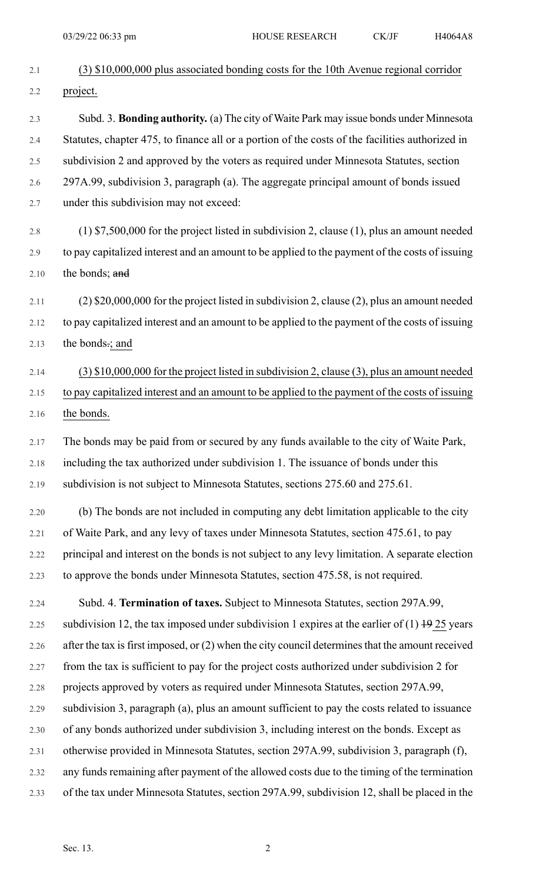| 2.1  | $(3)$ \$10,000,000 plus associated bonding costs for the 10th Avenue regional corridor           |
|------|--------------------------------------------------------------------------------------------------|
| 2.2  | project.                                                                                         |
| 2.3  | Subd. 3. <b>Bonding authority.</b> (a) The city of Waite Park may issue bonds under Minnesota    |
| 2.4  | Statutes, chapter 475, to finance all or a portion of the costs of the facilities authorized in  |
| 2.5  | subdivision 2 and approved by the voters as required under Minnesota Statutes, section           |
| 2.6  | 297A.99, subdivision 3, paragraph (a). The aggregate principal amount of bonds issued            |
| 2.7  | under this subdivision may not exceed:                                                           |
| 2.8  | $(1)$ \$7,500,000 for the project listed in subdivision 2, clause (1), plus an amount needed     |
| 2.9  | to pay capitalized interest and an amount to be applied to the payment of the costs of issuing   |
| 2.10 | the bonds; and                                                                                   |
| 2.11 | $(2)$ \$20,000,000 for the project listed in subdivision 2, clause (2), plus an amount needed    |
| 2.12 | to pay capitalized interest and an amount to be applied to the payment of the costs of issuing   |
| 2.13 | the bonds.; and                                                                                  |
| 2.14 | $(3)$ \$10,000,000 for the project listed in subdivision 2, clause (3), plus an amount needed    |
| 2.15 | to pay capitalized interest and an amount to be applied to the payment of the costs of issuing   |
| 2.16 | the bonds.                                                                                       |
| 2.17 | The bonds may be paid from or secured by any funds available to the city of Waite Park,          |
| 2.18 | including the tax authorized under subdivision 1. The issuance of bonds under this               |
| 2.19 | subdivision is not subject to Minnesota Statutes, sections 275.60 and 275.61.                    |
| 2.20 | (b) The bonds are not included in computing any debt limitation applicable to the city           |
| 2.21 | of Waite Park, and any levy of taxes under Minnesota Statutes, section 475.61, to pay            |
| 2.22 | principal and interest on the bonds is not subject to any levy limitation. A separate election   |
| 2.23 | to approve the bonds under Minnesota Statutes, section 475.58, is not required.                  |
| 2.24 | Subd. 4. Termination of taxes. Subject to Minnesota Statutes, section 297A.99,                   |
| 2.25 | subdivision 12, the tax imposed under subdivision 1 expires at the earlier of $(1)$ +9 25 years  |
| 2.26 | after the tax is first imposed, or (2) when the city council determines that the amount received |
| 2.27 | from the tax is sufficient to pay for the project costs authorized under subdivision 2 for       |
| 2.28 | projects approved by voters as required under Minnesota Statutes, section 297A.99,               |
| 2.29 | subdivision 3, paragraph (a), plus an amount sufficient to pay the costs related to issuance     |
|      |                                                                                                  |
| 2.30 | of any bonds authorized under subdivision 3, including interest on the bonds. Except as          |
| 2.31 | otherwise provided in Minnesota Statutes, section 297A.99, subdivision 3, paragraph (f),         |
| 2.32 | any funds remaining after payment of the allowed costs due to the timing of the termination      |